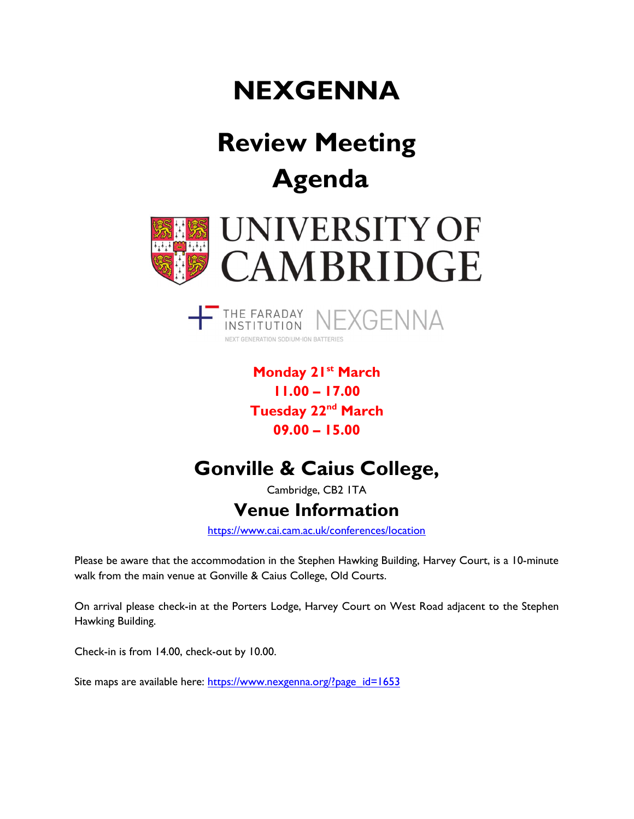# **NEXGENNA**

# Review Meeting Agenda





Monday 21<sup>st</sup> March 11.00 – 17.00 Tuesday 22<sup>nd</sup> March 09.00 – 15.00

## Gonville & Caius College,

Cambridge, CB2 1TA

### Venue Information

https://www.cai.cam.ac.uk/conferences/location

Please be aware that the accommodation in the Stephen Hawking Building, Harvey Court, is a 10-minute walk from the main venue at Gonville & Caius College, Old Courts.

On arrival please check-in at the Porters Lodge, Harvey Court on West Road adjacent to the Stephen Hawking Building.

Check-in is from 14.00, check-out by 10.00.

Site maps are available here: https://www.nexgenna.org/?page\_id=1653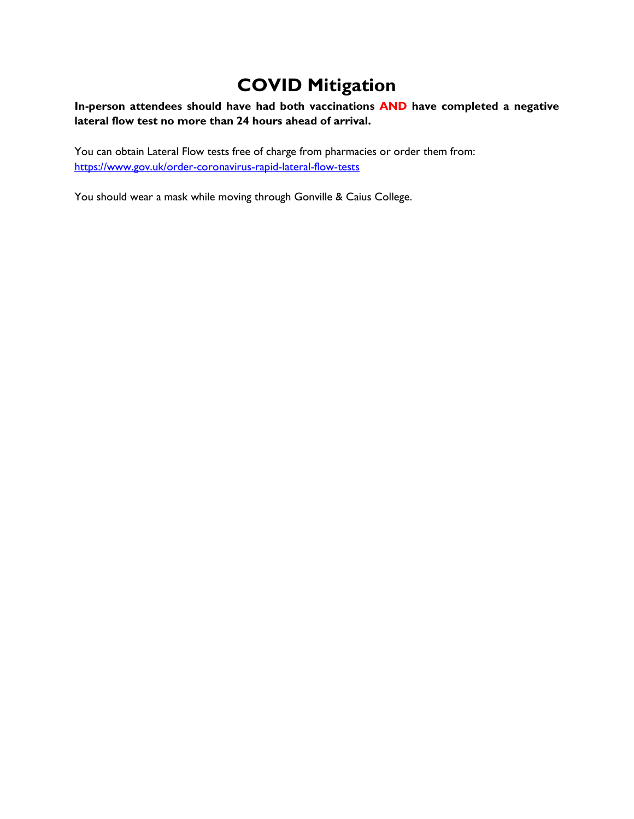### COVID Mitigation

#### In-person attendees should have had both vaccinations AND have completed a negative lateral flow test no more than 24 hours ahead of arrival.

You can obtain Lateral Flow tests free of charge from pharmacies or order them from: https://www.gov.uk/order-coronavirus-rapid-lateral-flow-tests

You should wear a mask while moving through Gonville & Caius College.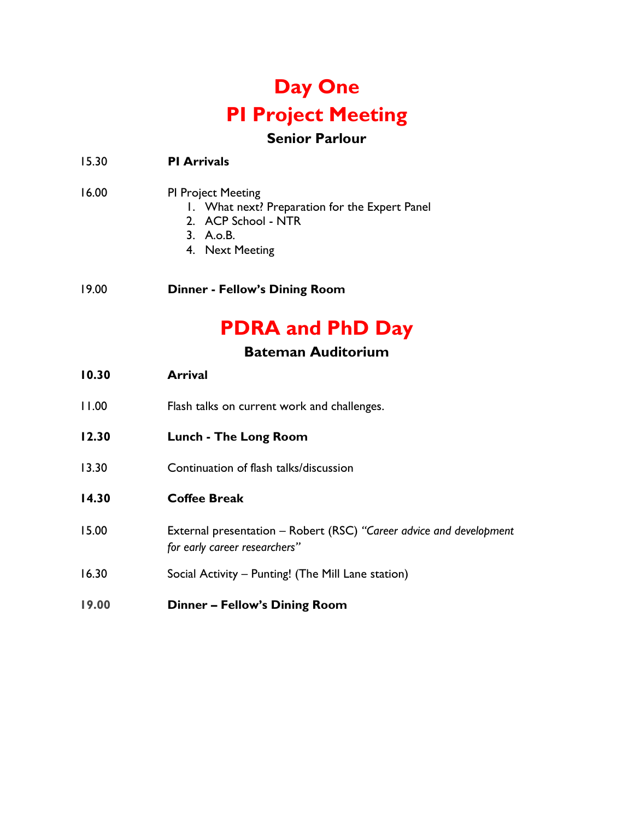## Day One PI Project Meeting

### Senior Parlour

15.30 PI Arrivals

- 16.00 PI Project Meeting
	- 1. What next? Preparation for the Expert Panel
	- 2. ACP School NTR
	- 3. A.o.B.
	- 4. Next Meeting
- 19.00 Dinner Fellow's Dining Room

## PDRA and PhD Day

#### Bateman Auditorium

| 10.30 | <b>Arrival</b>                                                                                       |
|-------|------------------------------------------------------------------------------------------------------|
| 11.00 | Flash talks on current work and challenges.                                                          |
| 12.30 | Lunch - The Long Room                                                                                |
| 13.30 | Continuation of flash talks/discussion                                                               |
| 14.30 | <b>Coffee Break</b>                                                                                  |
| 15.00 | External presentation - Robert (RSC) "Career advice and development<br>for early career researchers" |
| 16.30 | Social Activity – Punting! (The Mill Lane station)                                                   |
| 19.00 | <b>Dinner - Fellow's Dining Room</b>                                                                 |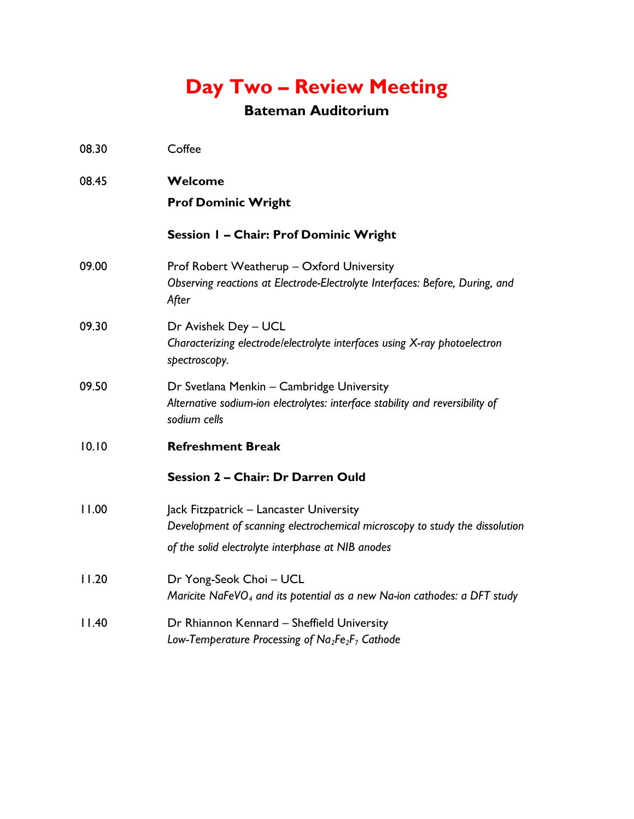## Day Two – Review Meeting

### Bateman Auditorium

| 08.30 | Coffee                                                                                                                                                                      |
|-------|-----------------------------------------------------------------------------------------------------------------------------------------------------------------------------|
| 08.45 | Welcome                                                                                                                                                                     |
|       | <b>Prof Dominic Wright</b>                                                                                                                                                  |
|       | Session I - Chair: Prof Dominic Wright                                                                                                                                      |
| 09.00 | Prof Robert Weatherup - Oxford University<br>Observing reactions at Electrode-Electrolyte Interfaces: Before, During, and<br>After                                          |
| 09.30 | Dr Avishek Dey - UCL<br>Characterizing electrode/electrolyte interfaces using X-ray photoelectron<br>spectroscopy.                                                          |
| 09.50 | Dr Svetlana Menkin - Cambridge University<br>Alternative sodium-ion electrolytes: interface stability and reversibility of<br>sodium cells                                  |
| 10.10 | <b>Refreshment Break</b>                                                                                                                                                    |
|       | Session 2 - Chair: Dr Darren Ould                                                                                                                                           |
| 11.00 | Jack Fitzpatrick - Lancaster University<br>Development of scanning electrochemical microscopy to study the dissolution<br>of the solid electrolyte interphase at NIB anodes |
| 11.20 | Dr Yong-Seok Choi - UCL<br>Maricite NaFeVO <sub>4</sub> and its potential as a new Na-ion cathodes: a DFT study                                                             |
| 11.40 | Dr Rhiannon Kennard - Sheffield University<br>Low-Temperature Processing of Na <sub>2</sub> Fe <sub>2</sub> F <sub>7</sub> Cathode                                          |